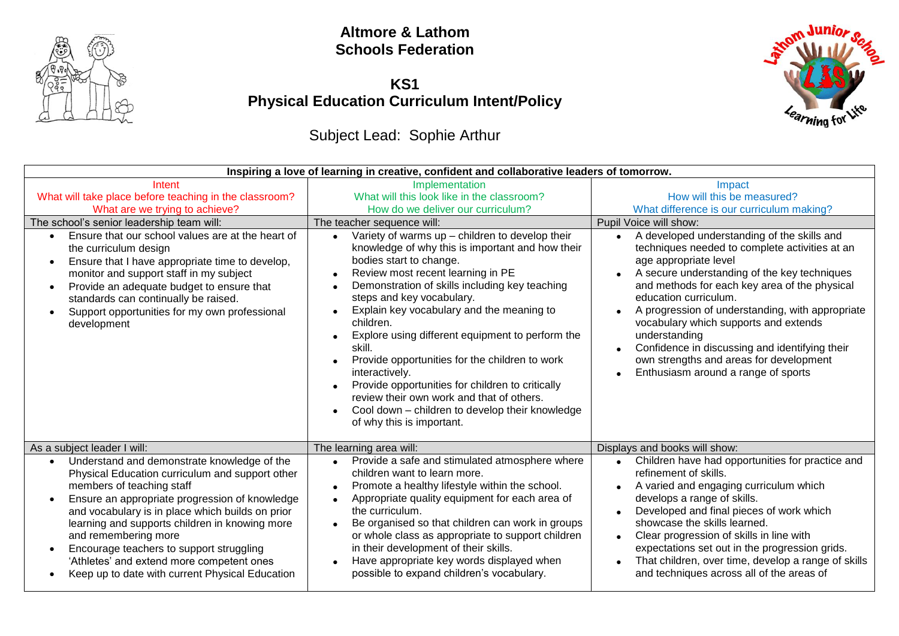

#### **Altmore & Lathom Schools Federation**

## **KS1 Physical Education Curriculum Intent/Policy**

# Subject Lead: Sophie Arthur



| Intent<br>What will take place before teaching in the classroom?<br>What are we trying to achieve?<br>The school's senior leadership team will:<br>Ensure that our school values are at the heart of<br>the curriculum design<br>Ensure that I have appropriate time to develop,<br>$\bullet$<br>monitor and support staff in my subject<br>Provide an adequate budget to ensure that<br>$\bullet$<br>standards can continually be raised.<br>Support opportunities for my own professional<br>$\bullet$<br>development | Inspiring a love of learning in creative, confident and collaborative leaders of tomorrow.<br>Implementation<br>What will this look like in the classroom?<br>How do we deliver our curriculum?<br>The teacher sequence will:<br>Variety of warms up $-$ children to develop their<br>knowledge of why this is important and how their<br>bodies start to change.<br>Review most recent learning in PE<br>Demonstration of skills including key teaching<br>steps and key vocabulary.<br>Explain key vocabulary and the meaning to<br>children.<br>Explore using different equipment to perform the<br>skill.<br>Provide opportunities for the children to work<br>interactively.<br>Provide opportunities for children to critically<br>review their own work and that of others.<br>Cool down – children to develop their knowledge<br>of why this is important. | Impact<br>How will this be measured?<br>What difference is our curriculum making?<br>Pupil Voice will show:<br>A developed understanding of the skills and<br>$\bullet$<br>techniques needed to complete activities at an<br>age appropriate level<br>A secure understanding of the key techniques<br>and methods for each key area of the physical<br>education curriculum.<br>A progression of understanding, with appropriate<br>vocabulary which supports and extends<br>understanding<br>Confidence in discussing and identifying their<br>own strengths and areas for development<br>Enthusiasm around a range of sports |  |  |
|-------------------------------------------------------------------------------------------------------------------------------------------------------------------------------------------------------------------------------------------------------------------------------------------------------------------------------------------------------------------------------------------------------------------------------------------------------------------------------------------------------------------------|--------------------------------------------------------------------------------------------------------------------------------------------------------------------------------------------------------------------------------------------------------------------------------------------------------------------------------------------------------------------------------------------------------------------------------------------------------------------------------------------------------------------------------------------------------------------------------------------------------------------------------------------------------------------------------------------------------------------------------------------------------------------------------------------------------------------------------------------------------------------|--------------------------------------------------------------------------------------------------------------------------------------------------------------------------------------------------------------------------------------------------------------------------------------------------------------------------------------------------------------------------------------------------------------------------------------------------------------------------------------------------------------------------------------------------------------------------------------------------------------------------------|--|--|
| As a subject leader I will:<br>Understand and demonstrate knowledge of the<br>Physical Education curriculum and support other                                                                                                                                                                                                                                                                                                                                                                                           | The learning area will:<br>Provide a safe and stimulated atmosphere where<br>children want to learn more.                                                                                                                                                                                                                                                                                                                                                                                                                                                                                                                                                                                                                                                                                                                                                          | Displays and books will show:<br>Children have had opportunities for practice and<br>refinement of skills.                                                                                                                                                                                                                                                                                                                                                                                                                                                                                                                     |  |  |
| members of teaching staff<br>Ensure an appropriate progression of knowledge<br>and vocabulary is in place which builds on prior<br>learning and supports children in knowing more<br>and remembering more<br>Encourage teachers to support struggling<br>'Athletes' and extend more competent ones<br>Keep up to date with current Physical Education                                                                                                                                                                   | Promote a healthy lifestyle within the school.<br>Appropriate quality equipment for each area of<br>$\bullet$<br>the curriculum.<br>Be organised so that children can work in groups<br>or whole class as appropriate to support children<br>in their development of their skills.<br>Have appropriate key words displayed when<br>possible to expand children's vocabulary.                                                                                                                                                                                                                                                                                                                                                                                                                                                                                       | A varied and engaging curriculum which<br>develops a range of skills.<br>Developed and final pieces of work which<br>$\bullet$<br>showcase the skills learned.<br>Clear progression of skills in line with<br>$\bullet$<br>expectations set out in the progression grids.<br>That children, over time, develop a range of skills<br>and techniques across all of the areas of                                                                                                                                                                                                                                                  |  |  |